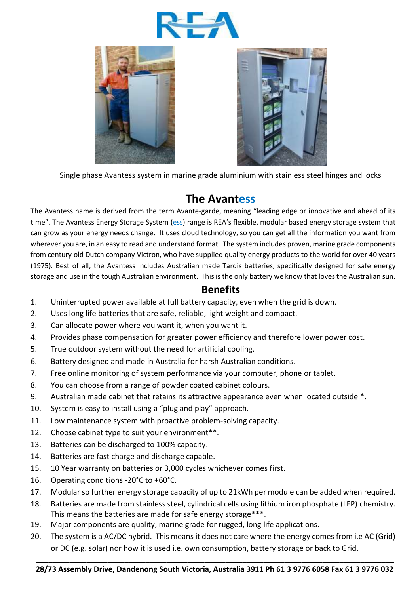





Single phase Avantess system in marine grade aluminium with stainless steel hinges and locks

## **The Avantess**

The Avantess name is derived from the term Avante-garde, meaning "leading edge or innovative and ahead of its time". The Avantess Energy Storage System (ess) range is REA's flexible, modular based energy storage system that can grow as your energy needs change. It uses cloud technology, so you can get all the information you want from wherever you are, in an easy to read and understand format. The system includes proven, marine grade components from century old Dutch company Victron, who have supplied quality energy products to the world for over 40 years (1975). Best of all, the Avantess includes Australian made Tardis batteries, specifically designed for safe energy storage and use in the tough Australian environment. This is the only battery we know that loves the Australian sun.

## **Benefits**

- 1. Uninterrupted power available at full battery capacity, even when the grid is down.
- 2. Uses long life batteries that are safe, reliable, light weight and compact.
- 3. Can allocate power where you want it, when you want it.
- 4. Provides phase compensation for greater power efficiency and therefore lower power cost.
- 5. True outdoor system without the need for artificial cooling.
- 6. Battery designed and made in Australia for harsh Australian conditions.
- 7. Free online monitoring of system performance via your computer, phone or tablet.
- 8. You can choose from a range of powder coated cabinet colours.
- 9. Australian made cabinet that retains its attractive appearance even when located outside \*.
- 10. System is easy to install using a "plug and play" approach.
- 11. Low maintenance system with proactive problem-solving capacity.
- 12. Choose cabinet type to suit your environment\*\*.
- 13. Batteries can be discharged to 100% capacity.
- 14. Batteries are fast charge and discharge capable.
- 15. 10 Year warranty on batteries or 3,000 cycles whichever comes first.
- 16. Operating conditions -20°C to +60°C.
- 17. Modular so further energy storage capacity of up to 21kWh per module can be added when required.
- 18. Batteries are made from stainless steel, cylindrical cells using lithium iron phosphate (LFP) chemistry. This means the batteries are made for safe energy storage\*\*\*.
- 19. Major components are quality, marine grade for rugged, long life applications.
- 20. The system is a AC/DC hybrid. This means it does not care where the energy comes from i.e AC (Grid) or DC (e.g. solar) nor how it is used i.e. own consumption, battery storage or back to Grid.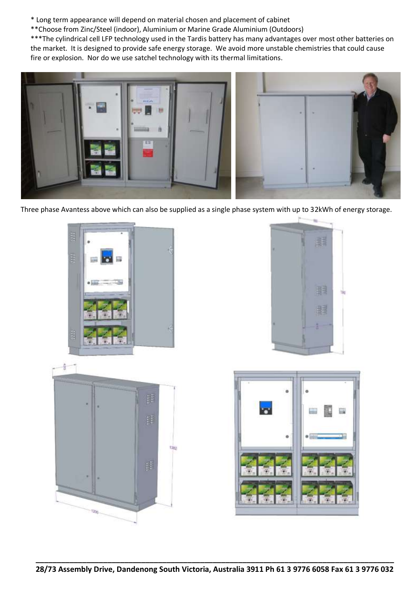\* Long term appearance will depend on material chosen and placement of cabinet

\*\*Choose from Zinc/Steel (indoor), Aluminium or Marine Grade Aluminium (Outdoors)

\*\*\*The cylindrical cell LFP technology used in the Tardis battery has many advantages over most other batteries on the market. It is designed to provide safe energy storage. We avoid more unstable chemistries that could cause fire or explosion. Nor do we use satchel technology with its thermal limitations.



Three phase Avantess above which can also be supplied as a single phase system with up to 32kWh of energy storage.